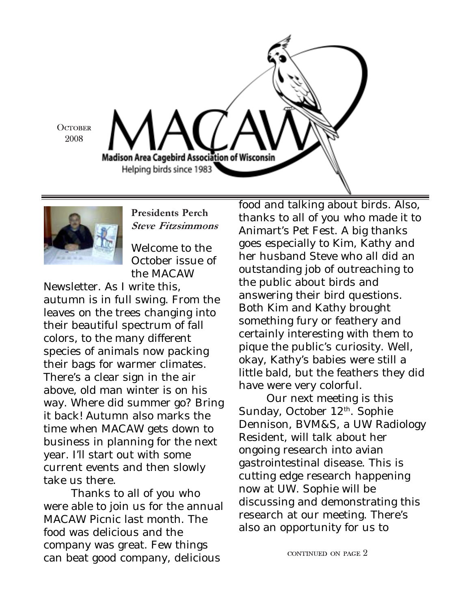



Presidents Perch Steve Fitzsimmons

Welcome to the October issue of the MACAW

Newsletter. As I write this, autumn is in full swing. From the leaves on the trees changing into their beautiful spectrum of fall colors, to the many different species of animals now packing their bags for warmer climates. There's a clear sign in the air above, old man winter is on his way. Where did summer go? Bring it back! Autumn also marks the time when MACAW gets down to business in planning for the next year. I'll start out with some current events and then slowly take us there.

Thanks to all of you who were able to join us for the annual MACAW Picnic last month. The food was delicious and the company was great. Few things can beat good company, delicious

food and talking about birds. Also, thanks to all of you who made it to Animart's Pet Fest. A big thanks goes especially to Kim, Kathy and her husband Steve who all did an outstanding job of outreaching to the public about birds and answering their bird questions. Both Kim and Kathy brought something fury or feathery and certainly interesting with them to pique the public's curiosity. Well, okay, Kathy's babies were still a little bald, but the feathers they did have were very colorful.

Our next meeting is this Sunday, October 12<sup>th</sup>. Sophie Dennison, BVM&S, a UW Radiology Resident, will talk about her ongoing research into avian gastrointestinal disease. This is cutting edge research happening now at UW. Sophie will be discussing and demonstrating this research at our meeting. There's also an opportunity for us to

CONTINUED ON PAGE 2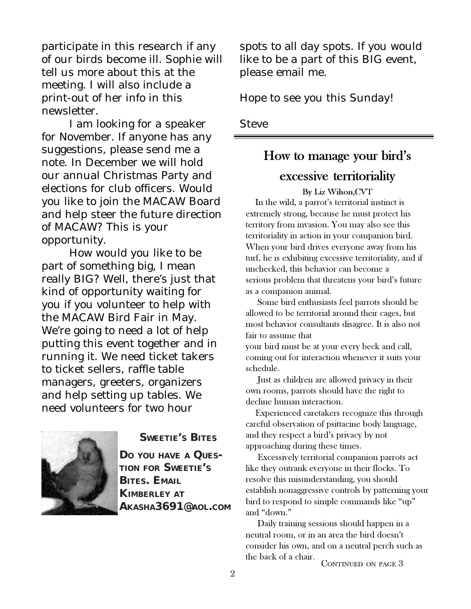participate in this research if any of our birds become ill. Sophie will tell us more about this at the meeting. I will also include a print-out of her info in this newsletter.

I am looking for a speaker for November. If anyone has any suggestions, please send me a note. In December we will hold our annual Christmas Party and elections for club officers. Would you like to join the MACAW Board and help steer the future direction of MACAW? This is your opportunity.

How would you like to be part of something big, I mean really BIG? Well, there's just that kind of opportunity waiting for you if you volunteer to help with the MACAW Bird Fair in May. We're going to need a lot of help putting this event together and in running it. We need ticket takers to ticket sellers, raffle table managers, greeters, organizers and help setting up tables. We need volunteers for two hour



**SWEETIE'S BITES**

**DO YOU HAVE A QUES-TION FOR SWEETIE'S BITES. EMAIL KIMBERLEY AT AKASHA3691@AOL.COM**

spots to all day spots. If you would like to be a part of this BIG event, please email me.

Hope to see you this Sunday!

**Steve** 

### How to manage your bird's

# excessive territoriality

By Liz Wilson,CVT In the wild, a parrot's territorial instinct is extremely strong, because he must protect his territory from invasion. You may also see this territoriality in action in your companion bird. When your bird drives everyone away from his turf, he is exhibiting excessive territoriality, and if unchecked, this behavior can become a serious problem that threatens your bird's future as a companion animal.

 Some bird enthusiasts feel parrots should be allowed to be territorial around their cages, but most behavior consultants disagree. It is also not fair to assume that

your bird must be at your every beck and call, coming out for interaction whenever it suits your schedule.

 Just as children are allowed privacy in their own rooms, parrots should have the right to decline human interaction.

 Experienced caretakers recognize this through careful observation of psittacine body language, and they respect a bird's privacy by not approaching during these times.

 Excessively territorial companion parrots act like they outrank everyone in their flocks. To resolve this misunderstanding, you should establish nonaggressive controls by patterning your bird to respond to simple commands like "up" and "down."

 Daily training sessions should happen in a neutral room, or in an area the bird doesn't consider his own, and on a neutral perch such as the back of a chair.

CONTINUED ON PAGE 3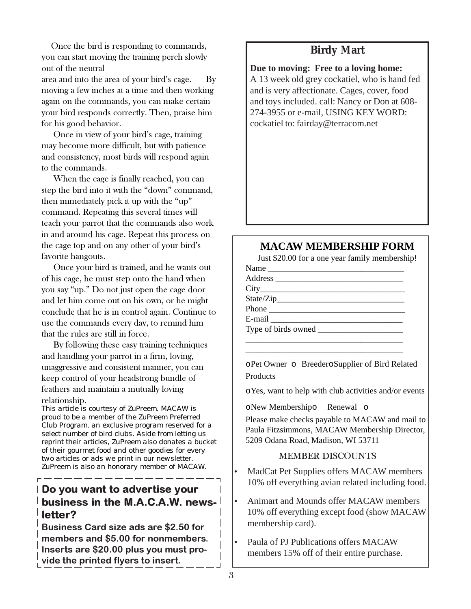Once the bird is responding to commands, you can start moving the training perch slowly out of the neutral area and into the area of your bird's cage. By moving a few inches at a time and then working again on the commands, you can make certain your bird responds correctly. Then, praise him for his good behavior.

 Once in view of your bird's cage, training may become more difficult, but with patience and consistency, most birds will respond again to the commands.

 When the cage is finally reached, you can step the bird into it with the "down" command, then immediately pick it up with the "up" command. Repeating this several times will teach your parrot that the commands also work in and around his cage. Repeat this process on the cage top and on any other of your bird's favorite hangouts.

 Once your bird is trained, and he wants out of his cage, he must step onto the hand when you say "up." Do not just open the cage door and let him come out on his own, or he might conclude that he is in control again. Continue to use the commands every day, to remind him that the rules are still in force.

 By following these easy training techniques and handling your parrot in a firm, loving, unaggressive and consistent manner, you can keep control of your headstrong bundle of feathers and maintain a mutually loving relationship.

*This article is courtesy of ZuPreem. MACAW is proud to be a member of the ZuPreem Preferred Club Program, an exclusive program reserved for a select number of bird clubs. Aside from letting us reprint their articles, ZuPreem also donates a bucket of their gourmet food and other goodies for every two articles or ads we print in our newsletter. ZuPreem is also an honorary member of MACAW.*

## Do you want to advertise your business in the M.A.C.A.W. newsletter?

Business Card size ads are \$2.50 for members and \$5.00 for nonmembers. Inserts are \$20.00 plus you must provide the printed flyers to insert.

# **Birdy Mart**

**Due to moving: Free to a loving home:** A 13 week old grey cockatiel, who is hand fed and is very affectionate. Cages, cover, food and toys included. call: Nancy or Don at 608- 274-3955 or e-mail, USING KEY WORD: cockatiel to: fairday@terracom.net

#### **MACAW MEMBERSHIP FORM**

Just \$20.00 for a one year family membership!

| Name  |  |  |
|-------|--|--|
|       |  |  |
|       |  |  |
|       |  |  |
| Phone |  |  |
|       |  |  |
|       |  |  |
|       |  |  |
|       |  |  |

\_\_\_\_\_\_\_\_\_\_\_\_\_\_\_\_\_\_\_\_\_\_\_\_\_\_\_\_\_\_\_\_\_\_\_\_\_

oPet Owner o BreederoSupplier of Bird Related **Products** 

oYes, want to help with club activities and/or events

oNew Membershipo Renewal o

Please make checks payable to MACAW and mail to Paula Fitzsimmons, MACAW Membership Director, 5209 Odana Road, Madison, WI 53711

#### MEMBER DISCOUNTS

• MadCat Pet Supplies offers MACAW members 10% off everything avian related including food.

- Animart and Mounds offer MACAW members 10% off everything except food (show MACAW membership card).
- Paula of PJ Publications offers MACAW members 15% off of their entire purchase.